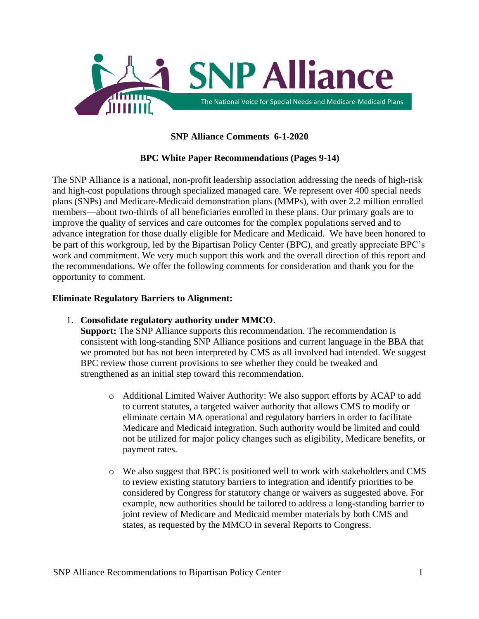

# **SNP Alliance Comments 6-1-2020**

### **BPC White Paper Recommendations (Pages 9-14)**

The SNP Alliance is a national, non-profit leadership association addressing the needs of high-risk and high-cost populations through specialized managed care. We represent over 400 special needs plans (SNPs) and Medicare-Medicaid demonstration plans (MMPs), with over 2.2 million enrolled members—about two-thirds of all beneficiaries enrolled in these plans. Our primary goals are to improve the quality of services and care outcomes for the complex populations served and to advance integration for those dually eligible for Medicare and Medicaid. We have been honored to be part of this workgroup, led by the Bipartisan Policy Center (BPC), and greatly appreciate BPC's work and commitment. We very much support this work and the overall direction of this report and the recommendations. We offer the following comments for consideration and thank you for the opportunity to comment.

### **Eliminate Regulatory Barriers to Alignment:**

1. **Consolidate regulatory authority under MMCO**.

**Support:** The SNP Alliance supports this recommendation. The recommendation is consistent with long-standing SNP Alliance positions and current language in the BBA that we promoted but has not been interpreted by CMS as all involved had intended. We suggest BPC review those current provisions to see whether they could be tweaked and strengthened as an initial step toward this recommendation.

- o Additional Limited Waiver Authority: We also support efforts by ACAP to add to current statutes, a targeted waiver authority that allows CMS to modify or eliminate certain MA operational and regulatory barriers in order to facilitate Medicare and Medicaid integration. Such authority would be limited and could not be utilized for major policy changes such as eligibility, Medicare benefits, or payment rates.
- o We also suggest that BPC is positioned well to work with stakeholders and CMS to review existing statutory barriers to integration and identify priorities to be considered by Congress for statutory change or waivers as suggested above. For example, new authorities should be tailored to address a long-standing barrier to joint review of Medicare and Medicaid member materials by both CMS and states, as requested by the MMCO in several Reports to Congress.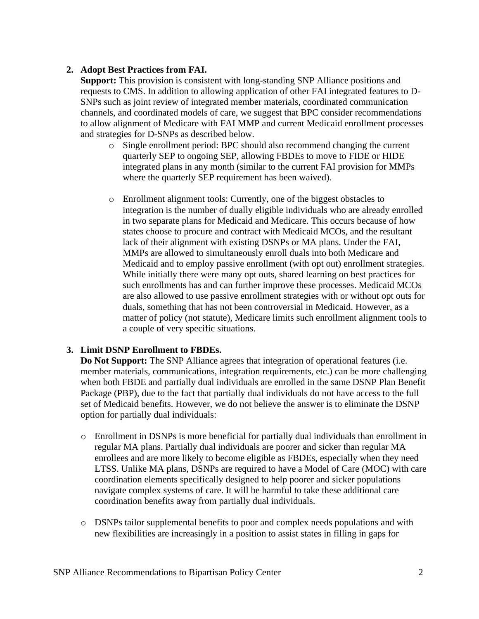# **2. Adopt Best Practices from FAI.**

**Support:** This provision is consistent with long-standing SNP Alliance positions and requests to CMS. In addition to allowing application of other FAI integrated features to D-SNPs such as joint review of integrated member materials, coordinated communication channels, and coordinated models of care, we suggest that BPC consider recommendations to allow alignment of Medicare with FAI MMP and current Medicaid enrollment processes and strategies for D-SNPs as described below.

- o Single enrollment period: BPC should also recommend changing the current quarterly SEP to ongoing SEP, allowing FBDEs to move to FIDE or HIDE integrated plans in any month (similar to the current FAI provision for MMPs where the quarterly SEP requirement has been waived).
- o Enrollment alignment tools: Currently, one of the biggest obstacles to integration is the number of dually eligible individuals who are already enrolled in two separate plans for Medicaid and Medicare. This occurs because of how states choose to procure and contract with Medicaid MCOs, and the resultant lack of their alignment with existing DSNPs or MA plans. Under the FAI, MMPs are allowed to simultaneously enroll duals into both Medicare and Medicaid and to employ passive enrollment (with opt out) enrollment strategies. While initially there were many opt outs, shared learning on best practices for such enrollments has and can further improve these processes. Medicaid MCOs are also allowed to use passive enrollment strategies with or without opt outs for duals, something that has not been controversial in Medicaid. However, as a matter of policy (not statute), Medicare limits such enrollment alignment tools to a couple of very specific situations.

# **3. Limit DSNP Enrollment to FBDEs.**

**Do Not Support:** The SNP Alliance agrees that integration of operational features (i.e. member materials, communications, integration requirements, etc.) can be more challenging when both FBDE and partially dual individuals are enrolled in the same DSNP Plan Benefit Package (PBP), due to the fact that partially dual individuals do not have access to the full set of Medicaid benefits. However, we do not believe the answer is to eliminate the DSNP option for partially dual individuals:

- o Enrollment in DSNPs is more beneficial for partially dual individuals than enrollment in regular MA plans. Partially dual individuals are poorer and sicker than regular MA enrollees and are more likely to become eligible as FBDEs, especially when they need LTSS. Unlike MA plans, DSNPs are required to have a Model of Care (MOC) with care coordination elements specifically designed to help poorer and sicker populations navigate complex systems of care. It will be harmful to take these additional care coordination benefits away from partially dual individuals.
- o DSNPs tailor supplemental benefits to poor and complex needs populations and with new flexibilities are increasingly in a position to assist states in filling in gaps for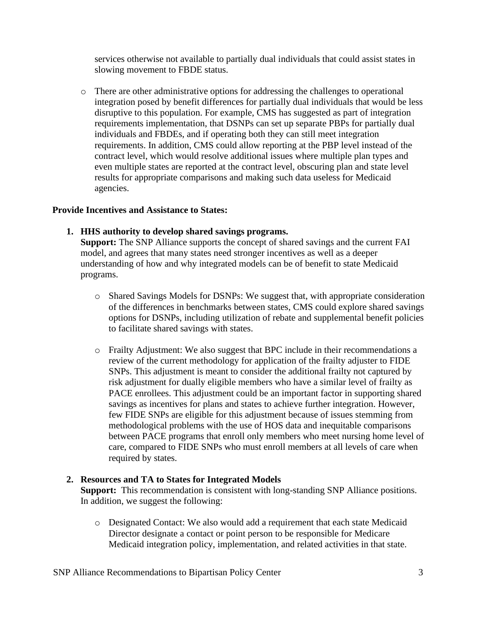services otherwise not available to partially dual individuals that could assist states in slowing movement to FBDE status.

o There are other administrative options for addressing the challenges to operational integration posed by benefit differences for partially dual individuals that would be less disruptive to this population. For example, CMS has suggested as part of integration requirements implementation, that DSNPs can set up separate PBPs for partially dual individuals and FBDEs, and if operating both they can still meet integration requirements. In addition, CMS could allow reporting at the PBP level instead of the contract level, which would resolve additional issues where multiple plan types and even multiple states are reported at the contract level, obscuring plan and state level results for appropriate comparisons and making such data useless for Medicaid agencies.

### **Provide Incentives and Assistance to States:**

**1. HHS authority to develop shared savings programs.** 

**Support:** The SNP Alliance supports the concept of shared savings and the current FAI model, and agrees that many states need stronger incentives as well as a deeper understanding of how and why integrated models can be of benefit to state Medicaid programs.

- o Shared Savings Models for DSNPs: We suggest that, with appropriate consideration of the differences in benchmarks between states, CMS could explore shared savings options for DSNPs, including utilization of rebate and supplemental benefit policies to facilitate shared savings with states.
- o Frailty Adjustment: We also suggest that BPC include in their recommendations a review of the current methodology for application of the frailty adjuster to FIDE SNPs. This adjustment is meant to consider the additional frailty not captured by risk adjustment for dually eligible members who have a similar level of frailty as PACE enrollees. This adjustment could be an important factor in supporting shared savings as incentives for plans and states to achieve further integration. However, few FIDE SNPs are eligible for this adjustment because of issues stemming from methodological problems with the use of HOS data and inequitable comparisons between PACE programs that enroll only members who meet nursing home level of care, compared to FIDE SNPs who must enroll members at all levels of care when required by states.

### **2. Resources and TA to States for Integrated Models**

**Support:** This recommendation is consistent with long-standing SNP Alliance positions. In addition, we suggest the following:

o Designated Contact: We also would add a requirement that each state Medicaid Director designate a contact or point person to be responsible for Medicare Medicaid integration policy, implementation, and related activities in that state.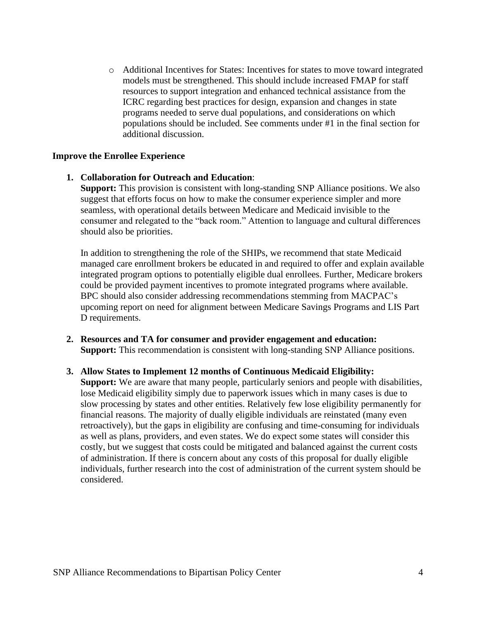o Additional Incentives for States: Incentives for states to move toward integrated models must be strengthened. This should include increased FMAP for staff resources to support integration and enhanced technical assistance from the ICRC regarding best practices for design, expansion and changes in state programs needed to serve dual populations, and considerations on which populations should be included. See comments under #1 in the final section for additional discussion.

#### **Improve the Enrollee Experience**

**1. Collaboration for Outreach and Education**: **Support:** This provision is consistent with long-standing SNP Alliance positions. We also

suggest that efforts focus on how to make the consumer experience simpler and more seamless, with operational details between Medicare and Medicaid invisible to the consumer and relegated to the "back room." Attention to language and cultural differences should also be priorities.

In addition to strengthening the role of the SHIPs, we recommend that state Medicaid managed care enrollment brokers be educated in and required to offer and explain available integrated program options to potentially eligible dual enrollees. Further, Medicare brokers could be provided payment incentives to promote integrated programs where available. BPC should also consider addressing recommendations stemming from MACPAC's upcoming report on need for alignment between Medicare Savings Programs and LIS Part D requirements.

- **2. Resources and TA for consumer and provider engagement and education: Support:** This recommendation is consistent with long-standing SNP Alliance positions.
- **3. Allow States to Implement 12 months of Continuous Medicaid Eligibility: Support:** We are aware that many people, particularly seniors and people with disabilities, lose Medicaid eligibility simply due to paperwork issues which in many cases is due to slow processing by states and other entities. Relatively few lose eligibility permanently for financial reasons. The majority of dually eligible individuals are reinstated (many even retroactively), but the gaps in eligibility are confusing and time-consuming for individuals as well as plans, providers, and even states. We do expect some states will consider this costly, but we suggest that costs could be mitigated and balanced against the current costs of administration. If there is concern about any costs of this proposal for dually eligible individuals, further research into the cost of administration of the current system should be considered.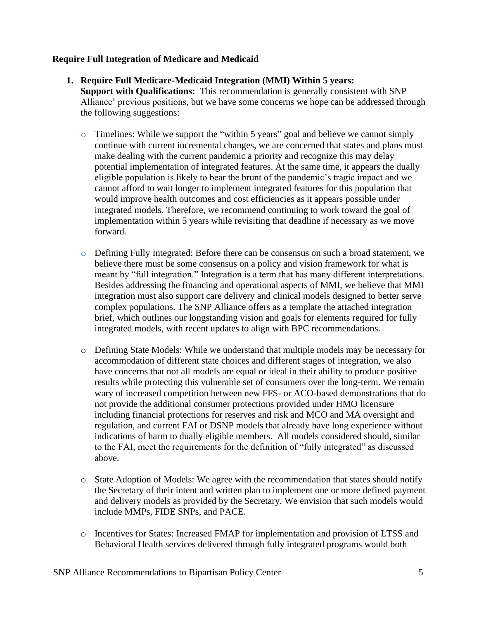## **Require Full Integration of Medicare and Medicaid**

- **1. Require Full Medicare-Medicaid Integration (MMI) Within 5 years: Support with Qualifications:** This recommendation is generally consistent with SNP Alliance' previous positions, but we have some concerns we hope can be addressed through the following suggestions:
	- o Timelines: While we support the "within 5 years" goal and believe we cannot simply continue with current incremental changes, we are concerned that states and plans must make dealing with the current pandemic a priority and recognize this may delay potential implementation of integrated features. At the same time, it appears the dually eligible population is likely to bear the brunt of the pandemic's tragic impact and we cannot afford to wait longer to implement integrated features for this population that would improve health outcomes and cost efficiencies as it appears possible under integrated models. Therefore, we recommend continuing to work toward the goal of implementation within 5 years while revisiting that deadline if necessary as we move forward.
	- o Defining Fully Integrated: Before there can be consensus on such a broad statement, we believe there must be some consensus on a policy and vision framework for what is meant by "full integration." Integration is a term that has many different interpretations. Besides addressing the financing and operational aspects of MMI, we believe that MMI integration must also support care delivery and clinical models designed to better serve complex populations. The SNP Alliance offers as a template the attached integration brief, which outlines our longstanding vision and goals for elements required for fully integrated models, with recent updates to align with BPC recommendations.
	- o Defining State Models: While we understand that multiple models may be necessary for accommodation of different state choices and different stages of integration, we also have concerns that not all models are equal or ideal in their ability to produce positive results while protecting this vulnerable set of consumers over the long-term. We remain wary of increased competition between new FFS- or ACO-based demonstrations that do not provide the additional consumer protections provided under HMO licensure including financial protections for reserves and risk and MCO and MA oversight and regulation, and current FAI or DSNP models that already have long experience without indications of harm to dually eligible members. All models considered should, similar to the FAI, meet the requirements for the definition of "fully integrated" as discussed above.
	- o State Adoption of Models: We agree with the recommendation that states should notify the Secretary of their intent and written plan to implement one or more defined payment and delivery models as provided by the Secretary. We envision that such models would include MMPs, FIDE SNPs, and PACE.
	- o Incentives for States: Increased FMAP for implementation and provision of LTSS and Behavioral Health services delivered through fully integrated programs would both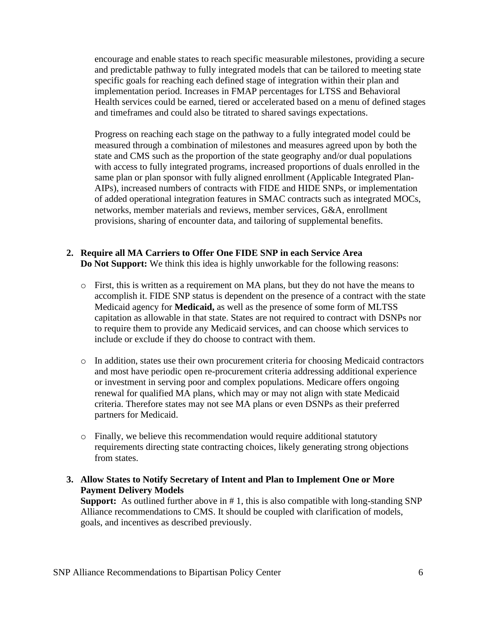encourage and enable states to reach specific measurable milestones, providing a secure and predictable pathway to fully integrated models that can be tailored to meeting state specific goals for reaching each defined stage of integration within their plan and implementation period. Increases in FMAP percentages for LTSS and Behavioral Health services could be earned, tiered or accelerated based on a menu of defined stages and timeframes and could also be titrated to shared savings expectations.

Progress on reaching each stage on the pathway to a fully integrated model could be measured through a combination of milestones and measures agreed upon by both the state and CMS such as the proportion of the state geography and/or dual populations with access to fully integrated programs, increased proportions of duals enrolled in the same plan or plan sponsor with fully aligned enrollment (Applicable Integrated Plan-AIPs), increased numbers of contracts with FIDE and HIDE SNPs, or implementation of added operational integration features in SMAC contracts such as integrated MOCs, networks, member materials and reviews, member services, G&A, enrollment provisions, sharing of encounter data, and tailoring of supplemental benefits.

## **2. Require all MA Carriers to Offer One FIDE SNP in each Service Area Do Not Support:** We think this idea is highly unworkable for the following reasons:

- o First, this is written as a requirement on MA plans, but they do not have the means to accomplish it. FIDE SNP status is dependent on the presence of a contract with the state Medicaid agency for **Medicaid,** as well as the presence of some form of MLTSS capitation as allowable in that state. States are not required to contract with DSNPs nor to require them to provide any Medicaid services, and can choose which services to include or exclude if they do choose to contract with them.
- o In addition, states use their own procurement criteria for choosing Medicaid contractors and most have periodic open re-procurement criteria addressing additional experience or investment in serving poor and complex populations. Medicare offers ongoing renewal for qualified MA plans, which may or may not align with state Medicaid criteria. Therefore states may not see MA plans or even DSNPs as their preferred partners for Medicaid.
- o Finally, we believe this recommendation would require additional statutory requirements directing state contracting choices, likely generating strong objections from states.
- **3. Allow States to Notify Secretary of Intent and Plan to Implement One or More Payment Delivery Models**

**Support:** As outlined further above in # 1, this is also compatible with long-standing SNP Alliance recommendations to CMS. It should be coupled with clarification of models, goals, and incentives as described previously.